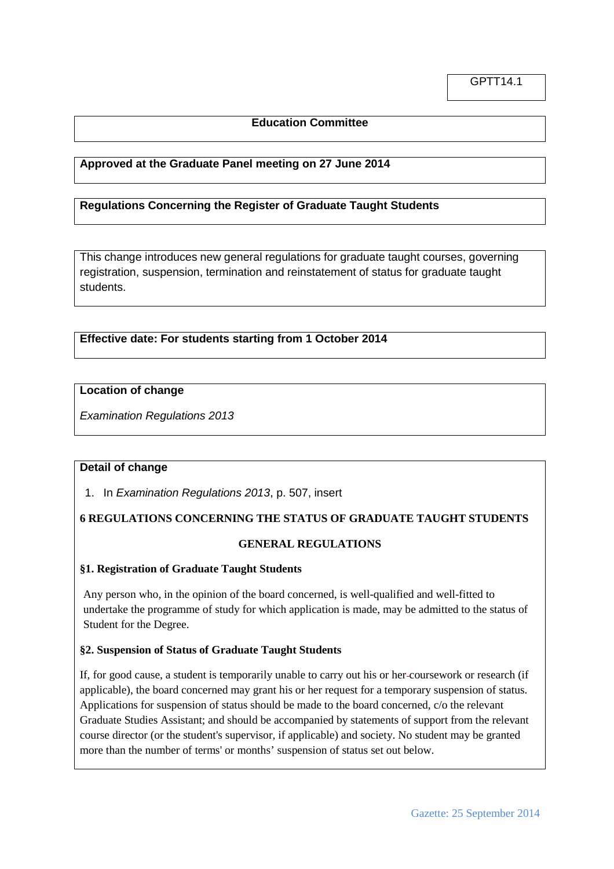# **Education Committee**

## **Approved at the Graduate Panel meeting on 27 June 2014**

# **Regulations Concerning the Register of Graduate Taught Students**

This change introduces new general regulations for graduate taught courses, governing registration, suspension, termination and reinstatement of status for graduate taught students.

# **Effective date: For students starting from 1 October 2014**

#### **Location of change**

*Examination Regulations 2013*

#### **Detail of change**

1. In *Examination Regulations 2013*, p. 507, insert

## **6 REGULATIONS CONCERNING THE STATUS OF GRADUATE TAUGHT STUDENTS**

#### **GENERAL REGULATIONS**

#### **§1. Registration of Graduate Taught Students**

Any person who, in the opinion of the board concerned, is well-qualified and well-fitted to undertake the programme of study for which application is made, may be admitted to the status of Student for the Degree.

#### **§2. Suspension of Status of Graduate Taught Students**

If, for good cause, a student is temporarily unable to carry out his or her coursework or research (if applicable), the board concerned may grant his or her request for a temporary suspension of status. Applications for suspension of status should be made to the board concerned, c/o the relevant Graduate Studies Assistant; and should be accompanied by statements of support from the relevant course director (or the student's supervisor, if applicable) and society. No student may be granted more than the number of terms' or months' suspension of status set out below.